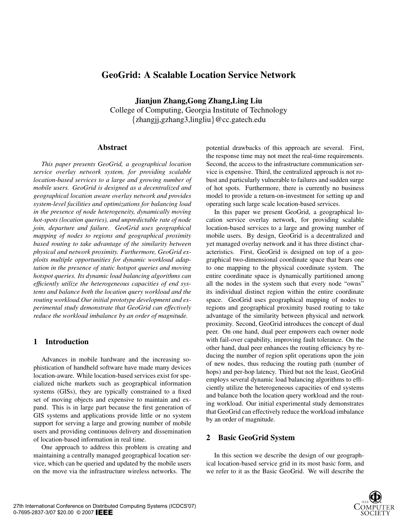# **GeoGrid: A Scalable Location Service Network**

**Jianjun Zhang,Gong Zhang,Ling Liu** College of Computing, Georgia Institute of Technology {zhangjj,gzhang3,lingliu}@cc.gatech.edu

### **Abstract**

*This paper presents GeoGrid, a geographical location service overlay network system, for providing scalable location-based services to a large and growing number of mobile users. GeoGrid is designed as a decentralized and geographical location aware overlay network and provides system-level facilities and optimizations for balancing load in the presence of node heterogeneity, dynamically moving hot-spots (location queries), and unpredictable rate of node join, departure and failure. GeoGrid uses geographical mapping of nodes to regions and geographical proximity based routing to take advantage of the similarity between physical and network proximity. Furthermore, GeoGrid exploits multiple opportunities for dynamic workload adaptation in the presence of static hotspot queries and moving hotspot queries. Its dynamic load balancing algorithms can efficiently utilize the heterogeneous capacities of end systems and balance both the location query workload and the routing workload.Our initial prototype development and experimental study demonstrate that GeoGrid can effectively reduce the workload imbalance by an order of magnitude.*

## **1 Introduction**

Advances in mobile hardware and the increasing sophistication of handheld software have made many devices location-aware. While location-based services exist for specialized niche markets such as geographical information systems (GISs), they are typically constrained to a fixed set of moving objects and expensive to maintain and expand. This is in large part because the first generation of GIS systems and applications provide little or no system support for serving a large and growing number of mobile users and providing continuous delivery and dissemination of location-based information in real time.

One approach to address this problem is creating and maintaining a centrally managed geographical location service, which can be queried and updated by the mobile users on the move via the infrastructure wireless networks. The potential drawbacks of this approach are several. First, the response time may not meet the real-time requirements. Second, the access to the infrastructure communication service is expensive. Third, the centralized approach is not robust and particularly vulnerable to failures and sudden surge of hot spots. Furthermore, there is currently no business model to provide a return-on-investment for setting up and operating such large scale location-based services.

In this paper we present GeoGrid, a geographical location service overlay network, for providing scalable location-based services to a large and growing number of mobile users. By design, GeoGrid is a decentralized and yet managed overlay network and it has three distinct characteristics. First, GeoGrid is designed on top of a geographical two-dimensional coordinate space that bears one to one mapping to the physical coordinate system. The entire coordinate space is dynamically partitioned among all the nodes in the system such that every node "owns" its individual distinct region within the entire coordinate space. GeoGrid uses geographical mapping of nodes to regions and geographical proximity based routing to take advantage of the similarity between physical and network proximity. Second, GeoGrid introduces the concept of dual peer. On one hand, dual peer empowers each owner node with fail-over capability, improving fault tolerance. On the other hand, dual peer enhances the routing efficiency by reducing the number of region split operations upon the join of new nodes, thus reducing the routing path (number of hops) and per-hop latency. Third but not the least, GeoGrid employs several dynamic load balancing algorithms to efficiently utilize the heterogeneous capacities of end systems and balance both the location query workload and the routing workload. Our initial experimental study demonstrates that GeoGrid can effectively reduce the workload imbalance by an order of magnitude.

## **2 Basic GeoGrid System**

In this section we describe the design of our geographical location-based service grid in its most basic form, and we refer to it as the Basic GeoGrid. We will describe the

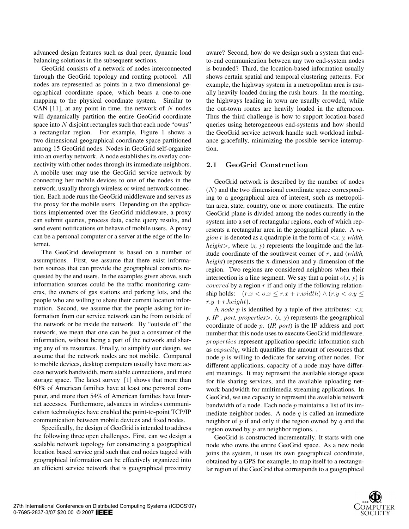advanced design features such as dual peer, dynamic load balancing solutions in the subsequent sections.

GeoGrid consists of a network of nodes interconnected through the GeoGrid topology and routing protocol. All nodes are represented as points in a two dimensional geographical coordinate space, which bears a one-to-one mapping to the physical coordinate system. Similar to CAN  $[11]$ , at any point in time, the network of N nodes will dynamically partition the entire GeoGrid coordinate space into  $N$  disjoint rectangles such that each node "owns" a rectangular region. For example, Figure 1 shows a two dimensional geographical coordinate space partitioned among 15 GeoGrid nodes. Nodes in GeoGrid self-organize into an overlay network. A node establishes its overlay connectivity with other nodes through its immediate neighbors. A mobile user may use the GeoGrid service network by connecting her mobile devices to one of the nodes in the network, usually through wireless or wired network connection. Each node runs the GeoGrid middleware and serves as the proxy for the mobile users. Depending on the applications implemented over the GeoGrid middleware, a proxy can submit queries, process data, cache query results, and send event notifications on behave of mobile users. A proxy can be a personal computer or a server at the edge of the Internet.

The GeoGrid development is based on a number of assumptions. First, we assume that there exist information sources that can provide the geographical contents requested by the end users. In the examples given above, such information sources could be the traffic monitoring cameras, the owners of gas stations and parking lots, and the people who are willing to share their current location information. Second, we assume that the people asking for information from our service network can be from outside of the network or be inside the network. By "outside of" the network, we mean that one can be just a consumer of the information, without being a part of the network and sharing any of its resources. Finally, to simplify our design, we assume that the network nodes are not mobile. Compared to mobile devices, desktop computers usually have more access network bandwidth, more stable connections, and more storage space. The latest survey [1] shows that more than 60% of American families have at least one personal computer, and more than 54% of American families have Internet accesses. Furthermore, advances in wireless communication technologies have enabled the point-to-point TCP/IP communication between mobile devices and fixed nodes.

Specifically, the design of GeoGrid is intended to address the following three open challenges. First, can we design a scalable network topology for constructing a geographical location based service grid such that end nodes tagged with geographical information can be effectively organized into an efficient service network that is geographical proximity aware? Second, how do we design such a system that endto-end communication between any two end-system nodes is bounded? Third, the location-based information usually shows certain spatial and temporal clustering patterns. For example, the highway system in a metropolitan area is usually heavily loaded during the rush hours. In the morning, the highways leading in town are usually crowded, while the out-town routes are heavily loaded in the afternoon. Thus the third challenge is how to support location-based queries using heterogeneous end-systems and how should the GeoGrid service network handle such workload imbalance gracefully, minimizing the possible service interruption.

#### **2.1 GeoGrid Construction**

GeoGrid network is described by the number of nodes (N) and the two dimensional coordinate space corresponding to a geographical area of interest, such as metropolitan area, state, country, one or more continents. The entire GeoGrid plane is divided among the nodes currently in the system into a set of rectangular regions, each of which represents a rectangular area in the geographical plane. A *region* r is denoted as a quadruple in the form of <*x, y, width, height*>, where (*x, y*) represents the longitude and the latitude coordinate of the southwest corner of r, and (*width, height*) represents the x-dimension and y-dimension of the region. Two regions are considered neighbors when their intersection is a line segment. We say that a point  $o(x, y)$  is *covered* by a region  $r$  if and only if the following relationship holds:  $(r.x < o.x \le r.x + r.width) \land (r.y < o.y \le$  $r.y + rheight.$ 

A *node* p is identified by a tuple of five attributes: <*x, y, IP , port, properties*>. (*x, y*) represents the geographical coordinate of node p. (*IP, port*) is the IP address and port number that this node uses to execute GeoGrid middleware. properties represent application specific information such as capacity, which quantifies the amount of resources that node p is willing to dedicate for serving other nodes. For different applications, capacity of a node may have different meanings. It may represent the available storage space for file sharing services, and the available uploading network bandwidth for multimedia streaming applications. In GeoGrid, we use *c*apacity to represent the available network bandwidth of a node. Each node  $p$  maintains a list of its immediate neighbor nodes. A node  $q$  is called an immediate neighbor of  $p$  if and only if the region owned by  $q$  and the region owned by p are neighbor regions. .

GeoGrid is constructed incrementally. It starts with one node who owns the entire GeoGrid space. As a new node joins the system, it uses its own geographical coordinate, obtained by a GPS for example, to map itself to a rectangular region of the GeoGrid that corresponds to a geographical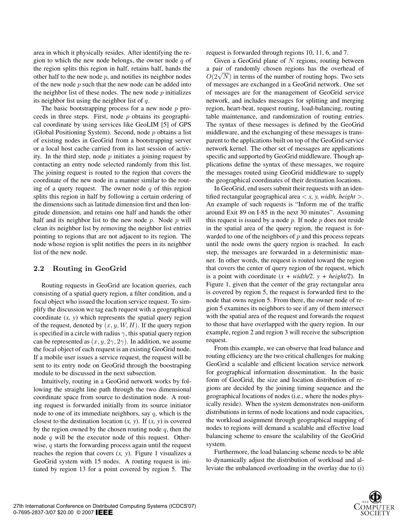area in which it physically resides. After identifying the region to which the new node belongs, the owner node  $q$  of the region splits this region in half, retains half, hands the other half to the new node  $p$ , and notifies its neighbor nodes of the new node  $p$  such that the new node can be added into the neighbor list of these nodes. The new node  $p$  initializes its neighbor list using the neighbor list of q.

The basic bootstrapping process for a new node  $p$  proceeds in three steps. First, node  $p$  obtains its geographical coordinate by using services like GeoLIM [5] of GPS (Global Positioning System). Second, node  $p$  obtains a list of existing nodes in GeoGrid from a bootstrapping server or a local host cache carried from its last session of activity. In the third step, node  $p$  initiates a joining request by contacting an entry node selected randomly from this list. The joining request is routed to the region that covers the coordinate of the new node in a manner similar to the routing of a query request. The owner node  $q$  of this region splits this region in half by following a certain ordering of the dimensions such as latitude dimension first and then longitude dimension, and retains one half and hands the other half and its neighbor list to the new node  $p$ . Node  $p$  will clean its neighbor list by removing the neighbor list entries pointing to regions that are not adjacent to its region. The node whose region is split notifies the peers in its neighbor list of the new node.

## **2.2 Routing in GeoGrid**

Routing requests in GeoGrid are location queries, each consisting of a spatial query region, a filter condition, and a focal object who issued the location service request. To simplify the discussion we tag each request with a geographical coordinate (*x, y*) which represents the spatial query region of the request, denoted by  $(x, y, W, H)$ . If the query region is specified in a circle with radius  $\gamma$ , this spatial query region can be represented as  $(x, y, 2\gamma, 2\gamma)$ . In addition, we assume the focal object of each request is an existing GeoGrid node. If a mobile user issues a service request, the request will be sent to its entry node on GeoGrid through the boostraping module to be discussed in the next subsection.

Intuitively, routing in a GeoGrid network works by following the straight line path through the two dimensional coordinate space from source to destination node. A routing request is forwarded initially from its source initiator node to one of its immediate neighbors, say  $q$ , which is the closest to the destination location (*x, y*). If (*x, y*) is covered by the region owned by the chosen routing node  $q$ , then the node  $q$  will be the executor node of this request. Otherwise, q starts the forwarding process again until the request reaches the region that covers (*x, y*). Figure 1 visualizes a GeoGrid system with 15 nodes. A routing request is initiated by region 13 for a point covered by region 5. The request is forwarded through regions 10, 11, 6, and 7.

Given a GeoGrid plane of  $N$  regions, routing between a pair of randomly chosen regions has the overhead of a pair of randomly chosen regions has the overhead of  $O(2\sqrt{N})$  in terms of the number of routing hops. Two sets of messages are exchanged in a GeoGrid network. One set of messages are for the management of GeoGrid service network, and includes messages for splitting and merging region, heart-beat, request routing, load-balancing, routing table maintenance, and randomization of routing entries. The syntax of these messages is defined by the GeoGrid middleware, and the exchanging of these messages is transparent to the applications built on top of the GeoGrid service network kernel. The other set of messages are applications specific and supported by GeoGrid middleware. Though applications define the syntax of these messages, we require the messages routed using GeoGrid middleware to supply the geographical coordinates of their destination locations.

In GeoGrid, end users submit their requests with an identified rectangular geographical area < *x, y, width, height* >. An example of such requests is "Inform me of the traffic around Exit 89 on I-85 in the next 30 minutes". Assuming this request is issued by a node  $p$ . If node  $p$  does not reside in the spatial area of the query region, the request is forwarded to one of the neighbors of  $p$  and this process repeats until the node owns the query region is reached. In each step, the messages are forwarded in a deterministic manner. In other words, the request is routed toward the region that covers the center of query region of the request, which is a point with coordinate  $(x + width/2, y + height/2)$ . In Figure 1, given that the center of the gray rectangular area is covered by region 5, the request is forwarded first to the node that owns region 5. From there, the owner node of region 5 examines its neighbors to see if any of them intersect with the spatial area of the request and forwards the request to those that have overlapped with the query region. In our example, region 2 and region 3 will receive the subscription request.

From this example, we can observe that load balance and routing efficiency are the two critical challenges for making GeoGrid a scalable and efficient location service network for geographical information dissemination. In the basic form of GeoGrid, the size and location distribution of regions are decided by the joining timing sequence and the geographical locations of nodes (i.e., where the nodes physically reside). When the system demonstrates non-uniform distributions in terms of node locations and node capacities, the workload assignment through geographical mapping of nodes to regions will demand a scalable and effective load balancing scheme to ensure the scalability of the GeoGrid system.

Furthermore, the load balancing scheme needs to be able to dynamically adjust the distribution of workload and alleviate the unbalanced overloading in the overlay due to (i)

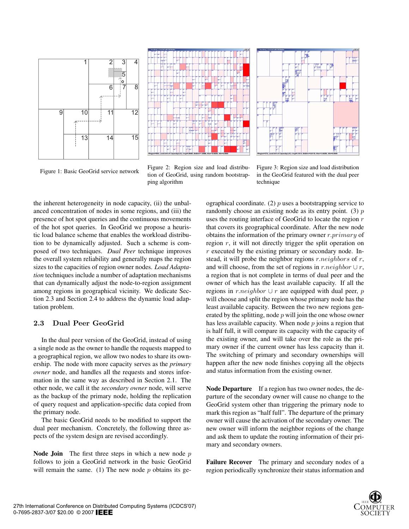



Figure 1: Basic GeoGrid service network Figure 2: Region size and load distribution of GeoGrid, using random bootstrapping algorithm



Figure 3: Region size and load distribution in the GeoGrid featured with the dual peer technique

the inherent heterogeneity in node capacity, (ii) the unbalanced concentration of nodes in some regions, and (iii) the presence of hot spot queries and the continuous movements of the hot spot queries. In GeoGrid we propose a heuristic load balance scheme that enables the workload distribution to be dynamically adjusted. Such a scheme is composed of two techniques. *Dual Peer* technique improves the overall system reliability and generally maps the region sizes to the capacities of region owner nodes. *Load Adaptation* techniques include a number of adaptation mechanisms that can dynamically adjust the node-to-region assignment among regions in geographical vicinity. We dedicate Section 2.3 and Section 2.4 to address the dynamic load adaptation problem.

## **2.3 Dual Peer GeoGrid**

In the dual peer version of the GeoGrid, instead of using a single node as the owner to handle the requests mapped to a geographical region, we allow two nodes to share its ownership. The node with more capacity serves as the *primary owner* node, and handles all the requests and stores information in the same way as described in Section 2.1. The other node, we call it the *secondary owner* node, will serve as the backup of the primary node, holding the replication of query request and application-specific data copied from the primary node.

The basic GeoGrid needs to be modified to support the dual peer mechanism. Concretely, the following three aspects of the system design are revised accordingly.

**Node Join** The first three steps in which a new node p follows to join a GeoGrid network in the basic GeoGrid will remain the same. (1) The new node  $p$  obtains its geographical coordinate. (2)  $p$  uses a bootstrapping service to randomly choose an existing node as its entry point. (3)  $p$ uses the routing interface of GeoGrid to locate the region  $r$ that covers its geographical coordinate. After the new node obtains the information of the primary owner  $r:primary$  of region r, it will not directly trigger the split operation on r executed by the existing primary or secondary node. Instead, it will probe the neighbor regions  $r.neighbours$  of r, and will choose, from the set of regions in r.neighbor  $\cup r$ , a region that is not complete in terms of dual peer and the owner of which has the least available capacity. If all the regions in r.neighbor  $\cup$  r are equipped with dual peer, p will choose and split the region whose primary node has the least available capacity. Between the two new regions generated by the splitting, node  $p$  will join the one whose owner has less available capacity. When node  $p$  joins a region that is half full, it will compare its capacity with the capacity of the existing owner, and will take over the role as the primary owner if the current owner has less capacity than it. The switching of primary and secondary ownerships will happen after the new node finishes copying all the objects and status information from the existing owner.

**Node Departure** If a region has two owner nodes, the departure of the secondary owner will cause no change to the GeoGrid system other than triggering the primary node to mark this region as "half full". The departure of the primary owner will cause the activation of the secondary owner. The new owner will inform the neighbor regions of the change and ask them to update the routing information of their primary and secondary owners.

**Failure Recover** The primary and secondary nodes of a region periodically synchronize their status information and

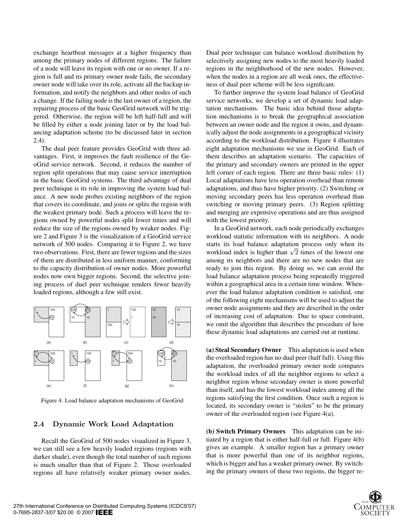exchange heartbeat messages at a higher frequency than among the primary nodes of different regions. The failure of a node will leave its region with one or no owner. If a region is full and its primary owner node fails, the secondary owner node will take over its role, activate all the backup information, and notify the neighbors and other nodes of such a change. If the failing node is the last owner of a region, the repairing process of the basic GeoGrid network will be triggered. Otherwise, the region will be left half-full and will be filled by either a node joining later or by the load balancing adaptation scheme (to be discussed later in section 2.4).

The dual peer feature provides GeoGrid with three advantages. First, it improves the fault resilience of the GeoGrid service network. Second, it reduces the number of region split operations that may cause service interruption in the basic GeoGrid systems. The third advantage of dual peer technique is its role in improving the system load balance. A new node probes existing neighbors of the region that covers its coordinate, and joins or splits the region with the weakest primary node. Such a process will leave the regions owned by powerful nodes split fewer times and will reduce the size of the regions owned by weaker nodes. Figure 2 and Figure 3 is the visualization of a GeoGrid service network of 500 nodes. Comparing it to Figure 2, we have two observations. First, there are fewer regions and the sizes of them are distributed in less uniform manner, conforming to the capacity distribution of owner nodes. More powerful nodes now own bigger regions. Second, the selective joining process of duel peer technique renders fewer heavily loaded regions, although a few still exist.



Figure 4: Load balance adaptation mechanisms of GeoGrid

#### **2.4 Dynamic Work Load Adaptation**

Recall the GeoGrid of 500 nodes visualized in Figure 3, we can still see a few heavily loaded regions (regions with darker shade), even though the total number of such regions is much smaller than that of Figure 2. Those overloaded regions all have relatively weaker primary owner nodes. Dual peer technique can balance workload distribution by selectively assigning new nodes to the most heavily loaded regions in the neighborhood of the new nodes. However, when the nodes in a region are all weak ones, the effectiveness of dual peer scheme will be less significant.

To further improve the system load balance of GeoGrid service networks, we develop a set of dynamic load adaptation mechanisms. The basic idea behind those adaptation mechanisms is to break the geographical association between an owner node and the region it owns, and dynamically adjust the node assignments in a geographical vicinity according to the workload distribution. Figure 4 illustrates eight adaptation mechanisms we use in GeoGrid. Each of them describes an adaptation scenario. The capacities of the primary and secondary owners are printed in the upper left corner of each region. There are three basic rules: (1) Local adaptations have less operation overhead than remote adaptations, and thus have higher priority. (2) Switching or moving secondary peers has less operation overhead than switching or moving primary peers. (3) Region splitting and merging are expensive operations and are thus assigned with the lowest priority.

In a GeoGrid network, each node periodically exchanges workload statistic information with its neighbors. A node starts its load balance adaptation process only when its workload index is higher than  $\sqrt{2}$  times of the lowest one among its neighbors and there are no new nodes that are ready to join this region. By doing so, we can avoid the load balance adaptation process being repeatedly triggered within a geographical area in a certain time window. Whenever the load balance adaptation condition is satisfied, one of the following eight mechanisms will be used to adjust the owner node assignments and they are described in the order of increasing cost of adaptation. Due to space constraint, we omit the algorithm that describes the procedure of how these dynamic load adaptations are carried out at runtime.

**(a) Steal Secondary Owner** This adaptation is used when the overloaded region has no dual peer (half full). Using this adaptation, the overloaded primary owner node compares the workload index of all the neighbor regions to select a neighbor region whose secondary owner is more powerful than itself, and has the lowest workload index among all the regions satisfying the first condition. Once such a region is located, its secondary owner is "stolen" to be the primary owner of the overloaded region (see Figure 4(a).

**(b) Switch Primary Owners** This adaptation can be initiated by a region that is either half-full or full. Figure 4(b) gives an example. A smaller region has a primary owner that is more powerful than one of its neighbor regions, which is bigger and has a weaker primary owner. By switching the primary owners of these two regions, the bigger re-

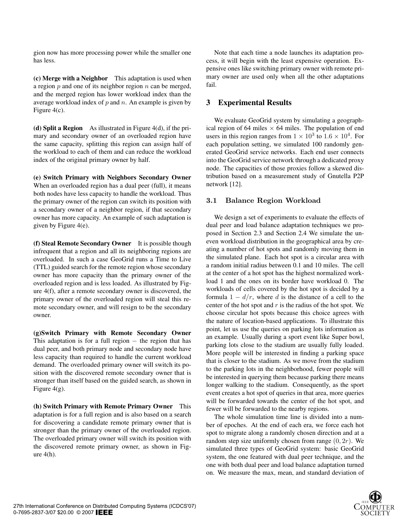gion now has more processing power while the smaller one has less.

**(c) Merge with a Neighbor** This adaptation is used when a region  $p$  and one of its neighbor region  $n$  can be merged, and the merged region has lower workload index than the average workload index of  $p$  and  $n$ . An example is given by Figure 4(c).

**(d) Split a Region** As illustrated in Figure 4(d), if the primary and secondary owner of an overloaded region have the same capacity, splitting this region can assign half of the workload to each of them and can reduce the workload index of the original primary owner by half.

**(e) Switch Primary with Neighbors Secondary Owner** When an overloaded region has a dual peer (full), it means both nodes have less capacity to handle the workload. Thus the primary owner of the region can switch its position with a secondary owner of a neighbor region, if that secondary owner has more capacity. An example of such adaptation is given by Figure 4(e).

**(f) Steal Remote Secondary Owner** It is possible though infrequent that a region and all its neighboring regions are overloaded. In such a case GeoGrid runs a Time to Live (TTL) guided search for the remote region whose secondary owner has more capacity than the primary owner of the overloaded region and is less loaded. As illustrated by Figure 4(f), after a remote secondary owner is discovered, the primary owner of the overloaded region will steal this remote secondary owner, and will resign to be the secondary owner.

**(g)Switch Primary with Remote Secondary Owner** This adaptation is for a full region  $-$  the region that has dual peer, and both primary node and secondary node have less capacity than required to handle the current workload demand. The overloaded primary owner will switch its position with the discovered remote secondary owner that is stronger than itself based on the guided search, as shown in Figure  $4(g)$ .

**(h) Switch Primary with Remote Primary Owner** This adaptation is for a full region and is also based on a search for discovering a candidate remote primary owner that is stronger than the primary owner of the overloaded region. The overloaded primary owner will switch its position with the discovered remote primary owner, as shown in Figure 4(h).

Note that each time a node launches its adaptation process, it will begin with the least expensive operation. Expensive ones like switching primary owner with remote primary owner are used only when all the other adaptations fail.

## **3 Experimental Results**

We evaluate GeoGrid system by simulating a geographical region of 64 miles  $\times$  64 miles. The population of end users in this region ranges from  $1 \times 10^3$  to  $1.6 \times 10^4$ . For each population setting, we simulated 100 randomly generated GeoGrid service networks. Each end user connects into the GeoGrid service network through a dedicated proxy node. The capacities of those proxies follow a skewed distribution based on a measurement study of Gnutella P2P network [12].

## **3.1 Balance Region Workload**

We design a set of experiments to evaluate the effects of dual peer and load balance adaptation techniques we proposed in Section 2.3 and Section 2.4 We simulate the uneven workload distribution in the geographical area by creating a number of hot spots and randomly moving them in the simulated plane. Each hot spot is a circular area with a random initial radius between 0.1 and 10 miles. The cell at the center of a hot spot has the highest normalized workload 1 and the ones on its border have workload 0. The workloads of cells covered by the hot spot is decided by a formula  $1 - d/r$ , where d is the distance of a cell to the center of the hot spot and  $r$  is the radius of the hot spot. We choose circular hot spots because this choice agrees with the nature of location-based applications. To illustrate this point, let us use the queries on parking lots information as an example. Usually during a sport event like Super bowl, parking lots close to the stadium are usually fully loaded. More people will be interested in finding a parking space that is closer to the stadium. As we move from the stadium to the parking lots in the neighborhood, fewer people will be interested in querying them because parking there means longer walking to the stadium. Consequently, as the sport event creates a hot spot of queries in that area, more queries will be forwarded towards the center of the hot spot, and fewer will be forwarded to the nearby regions.

The whole simulation time line is divided into a number of epoches. At the end of each era, we force each hot spot to migrate along a randomly chosen direction and at a random step size uniformly chosen from range  $(0, 2r)$ . We simulated three types of GeoGrid system: basic GeoGrid system, the one featured with dual peer technique, and the one with both dual peer and load balance adaptation turned on. We measure the max, mean, and standard deviation of

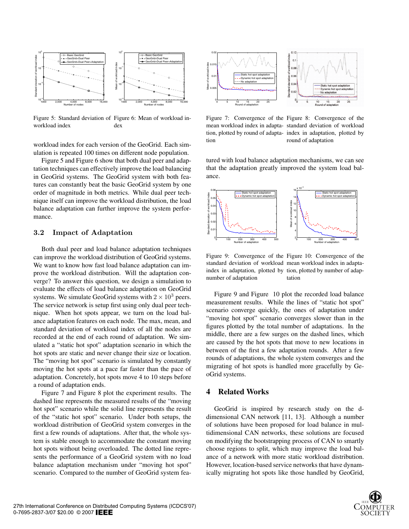

Figure 5: Standard deviation of Figure 6: Mean of workload inworkload index dex

workload index for each version of the GeoGrid. Each simulation is repeated 100 times on different node population.

Figure 5 and Figure 6 show that both dual peer and adaptation techniques can effectively improve the load balancing in GeoGrid systems. The GeoGrid system with both features can constantly beat the basic GeoGrid system by one order of magnitude in both metrics. While dual peer technique itself can improve the workload distribution, the load balance adaptation can further improve the system performance.

#### **3.2 Impact of Adaptation**

Both dual peer and load balance adaptation techniques can improve the workload distribution of GeoGrid systems. We want to know how fast load balance adaptation can improve the workload distribution. Will the adaptation converge? To answer this question, we design a simulation to evaluate the effects of load balance adaptation on GeoGrid systems. We simulate GeoGrid systems with  $2 \times 10^3$  peers. The service network is setup first using only dual peer technique. When hot spots appear, we turn on the load balance adaptation features on each node. The max, mean, and standard deviation of workload index of all the nodes are recorded at the end of each round of adaptation. We simulated a "static hot spot" adaptation scenario in which the hot spots are static and never change their size or location. The "moving hot spot" scenario is simulated by constantly moving the hot spots at a pace far faster than the pace of adaptation. Concretely, hot spots move 4 to 10 steps before a round of adaptation ends.

Figure 7 and Figure 8 plot the experiment results. The dashed line represents the measured results of the "moving hot spot" scenario while the solid line represents the result of the "static hot spot" scenario. Under both setups, the workload distribution of GeoGrid system converges in the first a few rounds of adaptations. After that, the whole system is stable enough to accommodate the constant moving hot spots without being overloaded. The dotted line represents the performance of a GeoGrid system with no load balance adaptation mechanism under "moving hot spot" scenario. Compared to the number of GeoGrid system fea-



tion

Figure 7: Convergence of the Figure 8: Convergence of the mean workload index in adapta-standard deviation of workload tion, plotted by round of adapta-index in adaptation, plotted by round of adaptation

tured with load balance adaptation mechanisms, we can see that the adaptation greatly improved the system load balance.



Figure 9: Convergence of the Figure 10: Convergence of the standard deviation of workload mean workload index in adaptaindex in adaptation, plotted by tion, plotted by number of adapnumber of adaptation tation

Figure 9 and Figure 10 plot the recorded load balance measurement results. While the lines of "static hot spot" scenario converge quickly, the ones of adaptation under "moving hot spot" scenario converges slower than in the figures plotted by the total number of adaptations. In the middle, there are a few surges on the dashed lines, which are caused by the hot spots that move to new locations in between of the first a few adaptation rounds. After a few rounds of adaptations, the whole system converges and the migrating of hot spots is handled more gracefully by GeoGrid systems.

#### **4 Related Works**

GeoGrid is inspired by research study on the ddimensional CAN network [11, 13]. Although a number of solutions have been proposed for load balance in multidimensional CAN networks, these solutions are focused on modifying the bootstrapping process of CAN to smartly choose regions to split, which may improve the load balance of a network with more static workload distribution. However, location-based service networks that have dynamically migrating hot spots like those handled by GeoGrid,